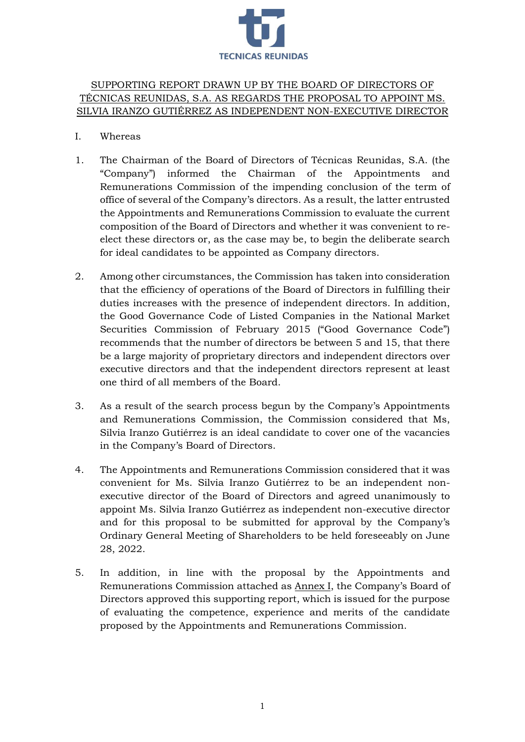

# SUPPORTING REPORT DRAWN UP BY THE BOARD OF DIRECTORS OF TÉCNICAS REUNIDAS, S.A. AS REGARDS THE PROPOSAL TO APPOINT MS. SILVIA IRANZO GUTIÉRREZ AS INDEPENDENT NON-EXECUTIVE DIRECTOR

- I. Whereas
- 1. The Chairman of the Board of Directors of Técnicas Reunidas, S.A. (the "Company") informed the Chairman of the Appointments and Remunerations Commission of the impending conclusion of the term of office of several of the Company's directors. As a result, the latter entrusted the Appointments and Remunerations Commission to evaluate the current composition of the Board of Directors and whether it was convenient to reelect these directors or, as the case may be, to begin the deliberate search for ideal candidates to be appointed as Company directors.
- 2. Among other circumstances, the Commission has taken into consideration that the efficiency of operations of the Board of Directors in fulfilling their duties increases with the presence of independent directors. In addition, the Good Governance Code of Listed Companies in the National Market Securities Commission of February 2015 ("Good Governance Code") recommends that the number of directors be between 5 and 15, that there be a large majority of proprietary directors and independent directors over executive directors and that the independent directors represent at least one third of all members of the Board.
- 3. As a result of the search process begun by the Company's Appointments and Remunerations Commission, the Commission considered that Ms, Silvia Iranzo Gutiérrez is an ideal candidate to cover one of the vacancies in the Company's Board of Directors.
- 4. The Appointments and Remunerations Commission considered that it was convenient for Ms. Silvia Iranzo Gutiérrez to be an independent nonexecutive director of the Board of Directors and agreed unanimously to appoint Ms. Silvia Iranzo Gutiérrez as independent non-executive director and for this proposal to be submitted for approval by the Company's Ordinary General Meeting of Shareholders to be held foreseeably on June 28, 2022.
- 5. In addition, in line with the proposal by the Appointments and Remunerations Commission attached as Annex I, the Company's Board of Directors approved this supporting report, which is issued for the purpose of evaluating the competence, experience and merits of the candidate proposed by the Appointments and Remunerations Commission.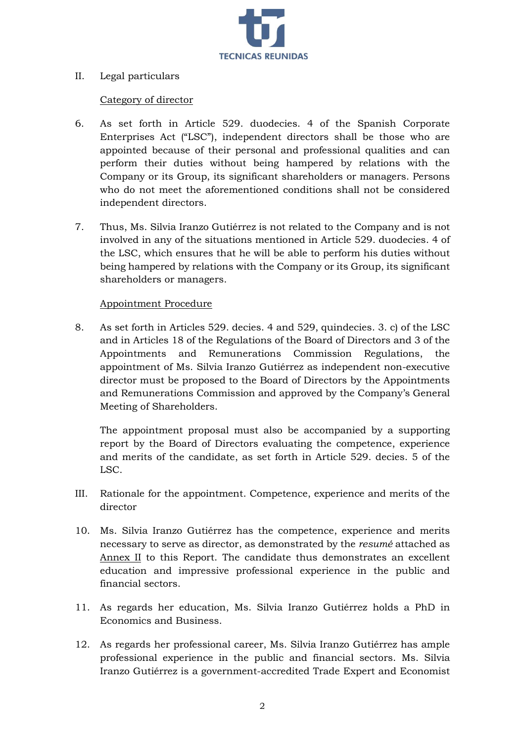

## II. Legal particulars

# Category of director

- 6. As set forth in Article 529. duodecies. 4 of the Spanish Corporate Enterprises Act ("LSC"), independent directors shall be those who are appointed because of their personal and professional qualities and can perform their duties without being hampered by relations with the Company or its Group, its significant shareholders or managers. Persons who do not meet the aforementioned conditions shall not be considered independent directors.
- 7. Thus, Ms. Silvia Iranzo Gutiérrez is not related to the Company and is not involved in any of the situations mentioned in Article 529. duodecies. 4 of the LSC, which ensures that he will be able to perform his duties without being hampered by relations with the Company or its Group, its significant shareholders or managers.

# Appointment Procedure

8. As set forth in Articles 529. decies. 4 and 529, quindecies. 3. c) of the LSC and in Articles 18 of the Regulations of the Board of Directors and 3 of the Appointments and Remunerations Commission Regulations, the appointment of Ms. Silvia Iranzo Gutiérrez as independent non-executive director must be proposed to the Board of Directors by the Appointments and Remunerations Commission and approved by the Company's General Meeting of Shareholders.

The appointment proposal must also be accompanied by a supporting report by the Board of Directors evaluating the competence, experience and merits of the candidate, as set forth in Article 529. decies. 5 of the LSC.

- III. Rationale for the appointment. Competence, experience and merits of the director
- 10. Ms. Silvia Iranzo Gutiérrez has the competence, experience and merits necessary to serve as director, as demonstrated by the *resumé* attached as Annex II to this Report. The candidate thus demonstrates an excellent education and impressive professional experience in the public and financial sectors.
- 11. As regards her education, Ms. Silvia Iranzo Gutiérrez holds a PhD in Economics and Business.
- 12. As regards her professional career, Ms. Silvia Iranzo Gutiérrez has ample professional experience in the public and financial sectors. Ms. Silvia Iranzo Gutiérrez is a government-accredited Trade Expert and Economist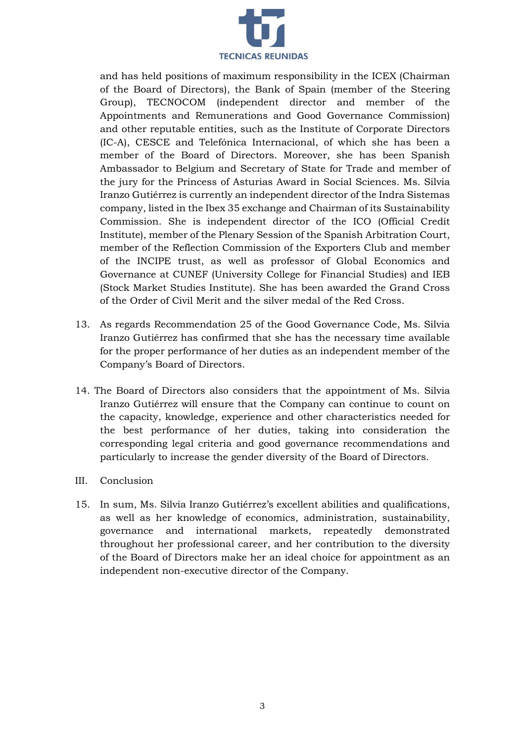

and has held positions of maximum responsibility in the ICEX (Chairman of the Board of Directors), the Bank of Spain (member of the Steering Group), TECNOCOM (independent director and member of the Appointments and Remunerations and Good Governance Commission) and other reputable entities, such as the Institute of Corporate Directors (IC-A), CESCE and Telefónica Internacional, of which she has been a member of the Board of Directors. Moreover, she has been Spanish Ambassador to Belgium and Secretary of State for Trade and member of the jury for the Princess of Asturias Award in Social Sciences. Ms. Silvia Iranzo Gutiérrez is currently an independent director of the Indra Sistemas company, listed in the Ibex 35 exchange and Chairman of its Sustainability Commission. She is independent director of the ICO (Official Credit Institute), member of the Plenary Session of the Spanish Arbitration Court, member of the Reflection Commission of the Exporters Club and member of the INCIPE trust, as well as professor of Global Economics and Governance at CUNEF (University College for Financial Studies) and IEB (Stock Market Studies Institute). She has been awarded the Grand Cross of the Order of Civil Merit and the silver medal of the Red Cross.

- 13. As regards Recommendation 25 of the Good Governance Code, Ms. Silvia Iranzo Gutiérrez has confirmed that she has the necessary time available for the proper performance of her duties as an independent member of the Company's Board of Directors.
- 14. The Board of Directors also considers that the appointment of Ms. Silvia Iranzo Gutiérrez will ensure that the Company can continue to count on the capacity, knowledge, experience and other characteristics needed for the best performance of her duties, taking into consideration the corresponding legal criteria and good governance recommendations and particularly to increase the gender diversity of the Board of Directors.
- III. Conclusion
- 15. In sum, Ms. Silvia Iranzo Gutiérrez's excellent abilities and qualifications, as well as her knowledge of economics, administration, sustainability, governance and international markets, repeatedly demonstrated throughout her professional career, and her contribution to the diversity of the Board of Directors make her an ideal choice for appointment as an independent non-executive director of the Company.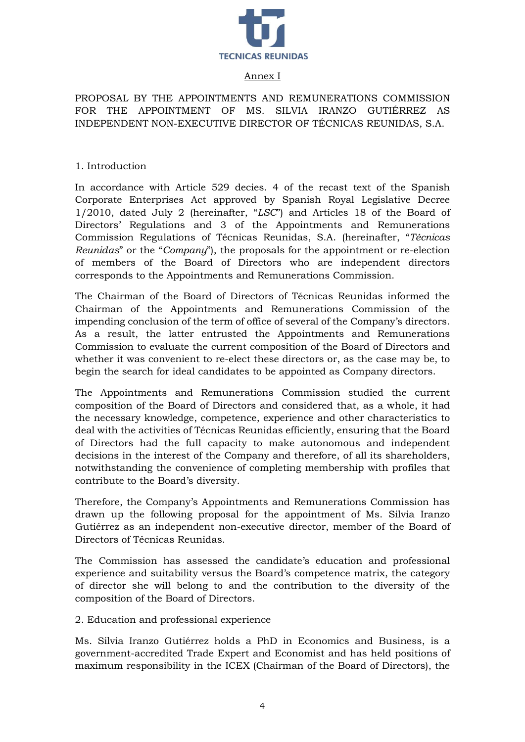

#### Annex I

PROPOSAL BY THE APPOINTMENTS AND REMUNERATIONS COMMISSION FOR THE APPOINTMENT OF MS. SILVIA IRANZO GUTIÉRREZ AS INDEPENDENT NON-EXECUTIVE DIRECTOR OF TÉCNICAS REUNIDAS, S.A.

1. Introduction

In accordance with Article 529 decies. 4 of the recast text of the Spanish Corporate Enterprises Act approved by Spanish Royal Legislative Decree 1/2010, dated July 2 (hereinafter, "*LSC*") and Articles 18 of the Board of Directors' Regulations and 3 of the Appointments and Remunerations Commission Regulations of Técnicas Reunidas, S.A. (hereinafter, "*Técnicas Reunidas*" or the "*Company*"), the proposals for the appointment or re-election of members of the Board of Directors who are independent directors corresponds to the Appointments and Remunerations Commission.

The Chairman of the Board of Directors of Técnicas Reunidas informed the Chairman of the Appointments and Remunerations Commission of the impending conclusion of the term of office of several of the Company's directors. As a result, the latter entrusted the Appointments and Remunerations Commission to evaluate the current composition of the Board of Directors and whether it was convenient to re-elect these directors or, as the case may be, to begin the search for ideal candidates to be appointed as Company directors.

The Appointments and Remunerations Commission studied the current composition of the Board of Directors and considered that, as a whole, it had the necessary knowledge, competence, experience and other characteristics to deal with the activities of Técnicas Reunidas efficiently, ensuring that the Board of Directors had the full capacity to make autonomous and independent decisions in the interest of the Company and therefore, of all its shareholders, notwithstanding the convenience of completing membership with profiles that contribute to the Board's diversity.

Therefore, the Company's Appointments and Remunerations Commission has drawn up the following proposal for the appointment of Ms. Silvia Iranzo Gutiérrez as an independent non-executive director, member of the Board of Directors of Técnicas Reunidas.

The Commission has assessed the candidate's education and professional experience and suitability versus the Board's competence matrix, the category of director she will belong to and the contribution to the diversity of the composition of the Board of Directors.

2. Education and professional experience

Ms. Silvia Iranzo Gutiérrez holds a PhD in Economics and Business, is a government-accredited Trade Expert and Economist and has held positions of maximum responsibility in the ICEX (Chairman of the Board of Directors), the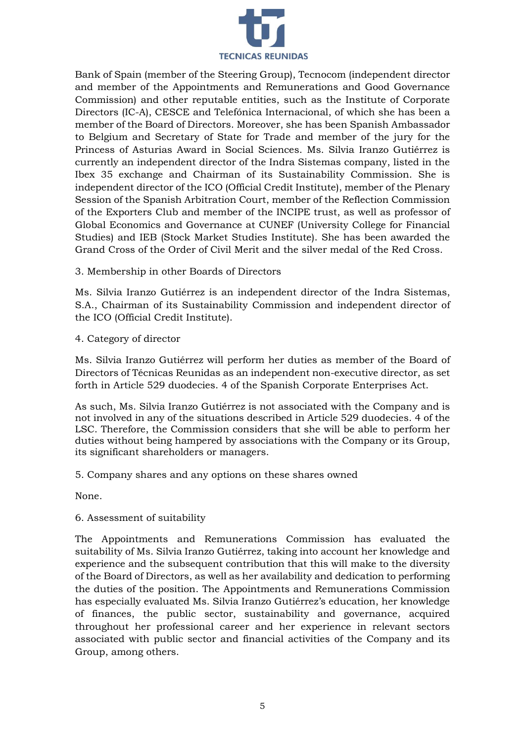

Bank of Spain (member of the Steering Group), Tecnocom (independent director and member of the Appointments and Remunerations and Good Governance Commission) and other reputable entities, such as the Institute of Corporate Directors (IC-A), CESCE and Telefónica Internacional, of which she has been a member of the Board of Directors. Moreover, she has been Spanish Ambassador to Belgium and Secretary of State for Trade and member of the jury for the Princess of Asturias Award in Social Sciences. Ms. Silvia Iranzo Gutiérrez is currently an independent director of the Indra Sistemas company, listed in the Ibex 35 exchange and Chairman of its Sustainability Commission. She is independent director of the ICO (Official Credit Institute), member of the Plenary Session of the Spanish Arbitration Court, member of the Reflection Commission of the Exporters Club and member of the INCIPE trust, as well as professor of Global Economics and Governance at CUNEF (University College for Financial Studies) and IEB (Stock Market Studies Institute). She has been awarded the Grand Cross of the Order of Civil Merit and the silver medal of the Red Cross.

3. Membership in other Boards of Directors

Ms. Silvia Iranzo Gutiérrez is an independent director of the Indra Sistemas, S.A., Chairman of its Sustainability Commission and independent director of the ICO (Official Credit Institute).

4. Category of director

Ms. Silvia Iranzo Gutiérrez will perform her duties as member of the Board of Directors of Técnicas Reunidas as an independent non-executive director, as set forth in Article 529 duodecies. 4 of the Spanish Corporate Enterprises Act.

As such, Ms. Silvia Iranzo Gutiérrez is not associated with the Company and is not involved in any of the situations described in Article 529 duodecies. 4 of the LSC. Therefore, the Commission considers that she will be able to perform her duties without being hampered by associations with the Company or its Group, its significant shareholders or managers.

5. Company shares and any options on these shares owned

None.

## 6. Assessment of suitability

The Appointments and Remunerations Commission has evaluated the suitability of Ms. Silvia Iranzo Gutiérrez, taking into account her knowledge and experience and the subsequent contribution that this will make to the diversity of the Board of Directors, as well as her availability and dedication to performing the duties of the position. The Appointments and Remunerations Commission has especially evaluated Ms. Silvia Iranzo Gutiérrez's education, her knowledge of finances, the public sector, sustainability and governance, acquired throughout her professional career and her experience in relevant sectors associated with public sector and financial activities of the Company and its Group, among others.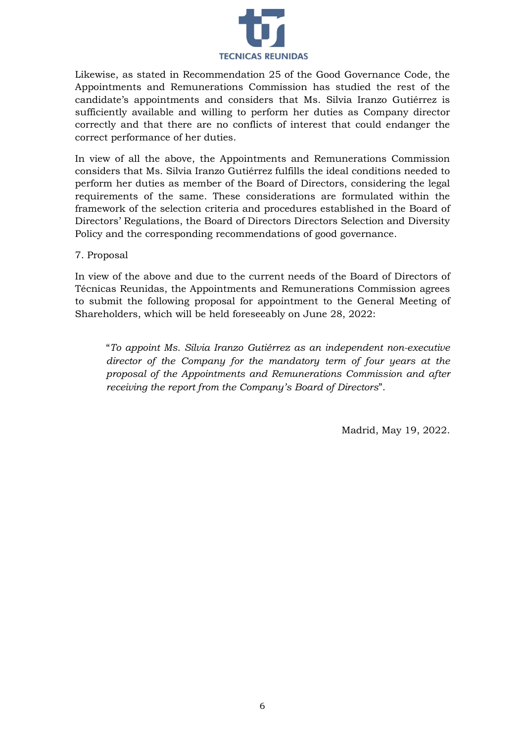

Likewise, as stated in Recommendation 25 of the Good Governance Code, the Appointments and Remunerations Commission has studied the rest of the candidate's appointments and considers that Ms. Silvia Iranzo Gutiérrez is sufficiently available and willing to perform her duties as Company director correctly and that there are no conflicts of interest that could endanger the correct performance of her duties.

In view of all the above, the Appointments and Remunerations Commission considers that Ms. Silvia Iranzo Gutiérrez fulfills the ideal conditions needed to perform her duties as member of the Board of Directors, considering the legal requirements of the same. These considerations are formulated within the framework of the selection criteria and procedures established in the Board of Directors' Regulations, the Board of Directors Directors Selection and Diversity Policy and the corresponding recommendations of good governance.

## 7. Proposal

In view of the above and due to the current needs of the Board of Directors of Técnicas Reunidas, the Appointments and Remunerations Commission agrees to submit the following proposal for appointment to the General Meeting of Shareholders, which will be held foreseeably on June 28, 2022:

"*To appoint Ms. Silvia Iranzo Gutiérrez as an independent non-executive director of the Company for the mandatory term of four years at the proposal of the Appointments and Remunerations Commission and after receiving the report from the Company's Board of Directors*".

Madrid, May 19, 2022.